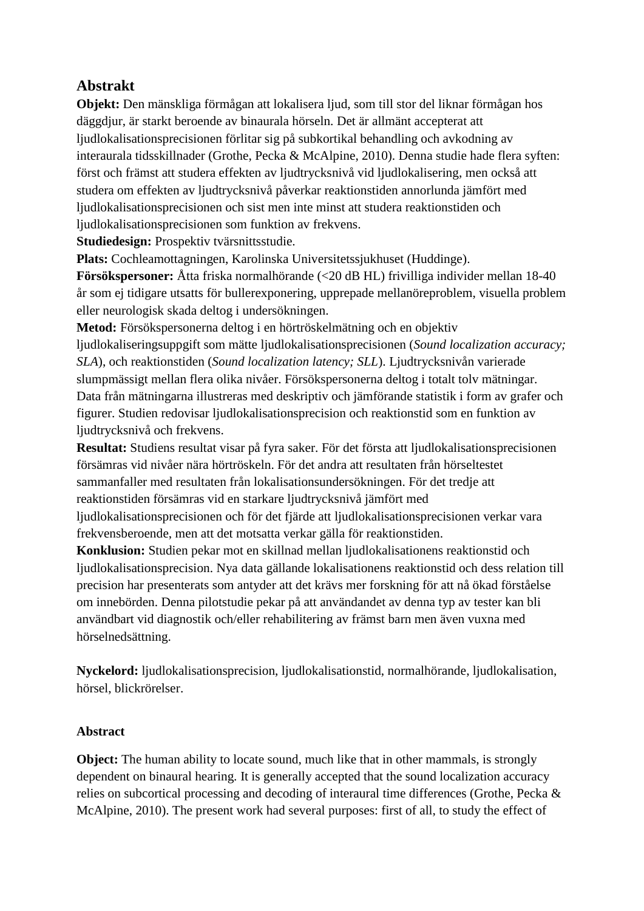## **Abstrakt**

**Objekt:** Den mänskliga förmågan att lokalisera ljud, som till stor del liknar förmågan hos däggdjur, är starkt beroende av binaurala hörseln. Det är allmänt accepterat att ljudlokalisationsprecisionen förlitar sig på subkortikal behandling och avkodning av interaurala tidsskillnader (Grothe, Pecka & McAlpine, 2010). Denna studie hade flera syften: först och främst att studera effekten av ljudtrycksnivå vid ljudlokalisering, men också att studera om effekten av ljudtrycksnivå påverkar reaktionstiden annorlunda jämfört med ljudlokalisationsprecisionen och sist men inte minst att studera reaktionstiden och ljudlokalisationsprecisionen som funktion av frekvens.

**Studiedesign:** Prospektiv tvärsnittsstudie.

**Plats:** Cochleamottagningen, Karolinska Universitetssjukhuset (Huddinge).

**Försökspersoner:** Åtta friska normalhörande (<20 dB HL) frivilliga individer mellan 18-40 år som ej tidigare utsatts för bullerexponering, upprepade mellanöreproblem, visuella problem eller neurologisk skada deltog i undersökningen.

**Metod:** Försökspersonerna deltog i en hörtröskelmätning och en objektiv ljudlokaliseringsuppgift som mätte ljudlokalisationsprecisionen (*Sound localization accuracy; SLA*), och reaktionstiden (*Sound localization latency; SLL*). Ljudtrycksnivån varierade slumpmässigt mellan flera olika nivåer. Försökspersonerna deltog i totalt tolv mätningar. Data från mätningarna illustreras med deskriptiv och jämförande statistik i form av grafer och figurer. Studien redovisar ljudlokalisationsprecision och reaktionstid som en funktion av ljudtrycksnivå och frekvens.

**Resultat:** Studiens resultat visar på fyra saker. För det första att ljudlokalisationsprecisionen försämras vid nivåer nära hörtröskeln. För det andra att resultaten från hörseltestet sammanfaller med resultaten från lokalisationsundersökningen. För det tredje att reaktionstiden försämras vid en starkare ljudtrycksnivå jämfört med

ljudlokalisationsprecisionen och för det fjärde att ljudlokalisationsprecisionen verkar vara frekvensberoende, men att det motsatta verkar gälla för reaktionstiden.

**Konklusion:** Studien pekar mot en skillnad mellan ljudlokalisationens reaktionstid och ljudlokalisationsprecision. Nya data gällande lokalisationens reaktionstid och dess relation till precision har presenterats som antyder att det krävs mer forskning för att nå ökad förståelse om innebörden. Denna pilotstudie pekar på att användandet av denna typ av tester kan bli användbart vid diagnostik och/eller rehabilitering av främst barn men även vuxna med hörselnedsättning.

**Nyckelord:** ljudlokalisationsprecision, ljudlokalisationstid, normalhörande, ljudlokalisation, hörsel, blickrörelser.

## **Abstract**

**Object:** The human ability to locate sound, much like that in other mammals, is strongly dependent on binaural hearing. It is generally accepted that the sound localization accuracy relies on subcortical processing and decoding of interaural time differences (Grothe, Pecka & McAlpine, 2010). The present work had several purposes: first of all, to study the effect of